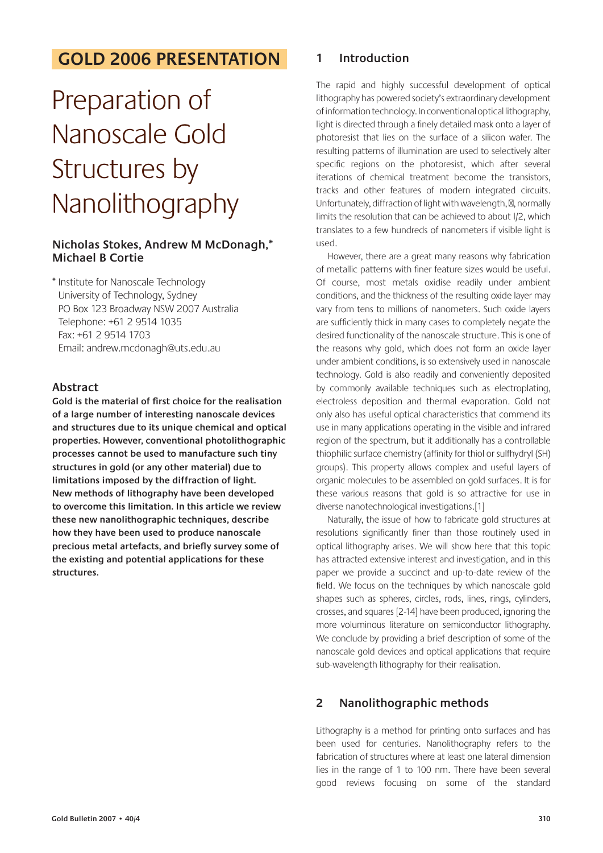## **GOLD 2006 PRESENTATION**

# Preparation of Nanoscale Gold Structures by Nanolithography

## **Nicholas Stokes, Andrew M McDonagh,\* Michael B Cortie**

\* Institute for Nanoscale Technology University of Technology, Sydney PO Box 123 Broadway NSW 2007 Australia Telephone: +61 2 9514 1035 Fax: +61 2 9514 1703 Email: andrew.mcdonagh@uts.edu.au

## **Abstract**

**Gold is the material of first choice for the realisation of a large number of interesting nanoscale devices and structures due to its unique chemical and optical properties. However, conventional photolithographic processes cannot be used to manufacture such tiny structures in gold (or any other material) due to limitations imposed by the diffraction of light. New methods of lithography have been developed to overcome this limitation. In this article we review these new nanolithographic techniques, describe how they have been used to produce nanoscale precious metal artefacts, and briefly survey some of the existing and potential applications for these structures.**

### **1 Introduction**

The rapid and highly successful development of optical lithography has powered society's extraordinary development of information technology. In conventional optical lithography, light is directed through a finely detailed mask onto a layer of photoresist that lies on the surface of a silicon wafer. The resulting patterns of illumination are used to selectively alter specific regions on the photoresist, which after several iterations of chemical treatment become the transistors, tracks and other features of modern integrated circuits. Unfortunately, diffraction of light with wavelength, , normally limits the resolution that can be achieved to about l/2, which translates to a few hundreds of nanometers if visible light is used.

However, there are a great many reasons why fabrication of metallic patterns with finer feature sizes would be useful. Of course, most metals oxidise readily under ambient conditions, and the thickness of the resulting oxide layer may vary from tens to millions of nanometers. Such oxide layers are sufficiently thick in many cases to completely negate the desired functionality of the nanoscale structure. This is one of the reasons why gold, which does not form an oxide layer under ambient conditions, is so extensively used in nanoscale technology. Gold is also readily and conveniently deposited by commonly available techniques such as electroplating, electroless deposition and thermal evaporation. Gold not only also has useful optical characteristics that commend its use in many applications operating in the visible and infrared region of the spectrum, but it additionally has a controllable thiophilic surface chemistry (affinity for thiol or sulfhydryl (SH) groups). This property allows complex and useful layers of organic molecules to be assembled on gold surfaces. It is for these various reasons that gold is so attractive for use in diverse nanotechnological investigations.[1]

Naturally, the issue of how to fabricate gold structures at resolutions significantly finer than those routinely used in optical lithography arises. We will show here that this topic has attracted extensive interest and investigation, and in this paper we provide a succinct and up-to-date review of the field. We focus on the techniques by which nanoscale gold shapes such as spheres, circles, rods, lines, rings, cylinders, crosses, and squares [2-14] have been produced, ignoring the more voluminous literature on semiconductor lithography. We conclude by providing a brief description of some of the nanoscale gold devices and optical applications that require sub-wavelength lithography for their realisation.

## **2 Nanolithographic methods**

Lithography is a method for printing onto surfaces and has been used for centuries. Nanolithography refers to the fabrication of structures where at least one lateral dimension lies in the range of 1 to 100 nm. There have been several good reviews focusing on some of the standard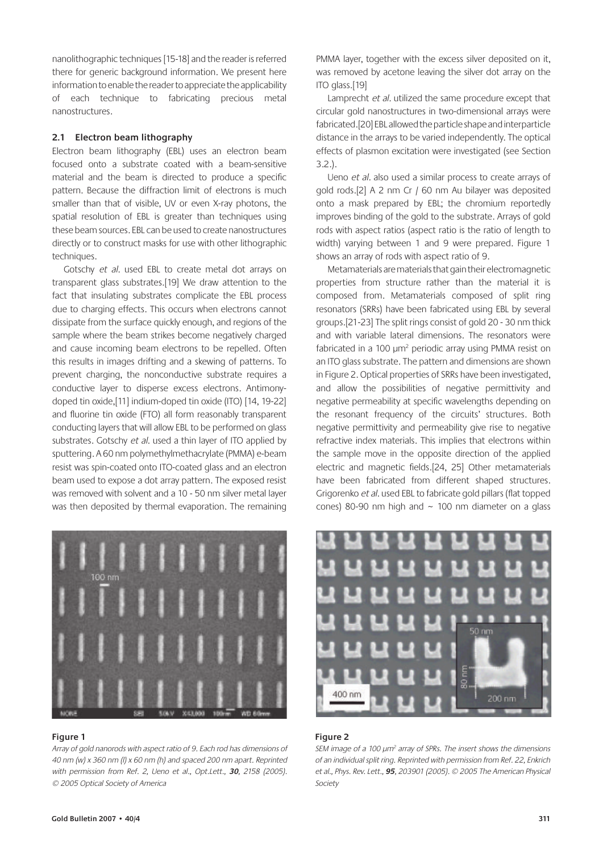nanolithographic techniques [15-18] and the reader is referred there for generic background information. We present here information to enable the reader to appreciate the applicability of each technique to fabricating precious metal nanostructures.

#### **2.1 Electron beam lithography**

Electron beam lithography (EBL) uses an electron beam focused onto a substrate coated with a beam-sensitive material and the beam is directed to produce a specific pattern. Because the diffraction limit of electrons is much smaller than that of visible, UV or even X-ray photons, the spatial resolution of EBL is greater than techniques using these beam sources. EBL can be used to create nanostructures directly or to construct masks for use with other lithographic techniques.

Gotschy et al. used EBL to create metal dot arrays on transparent glass substrates.[19] We draw attention to the fact that insulating substrates complicate the EBL process due to charging effects. This occurs when electrons cannot dissipate from the surface quickly enough, and regions of the sample where the beam strikes become negatively charged and cause incoming beam electrons to be repelled. Often this results in images drifting and a skewing of patterns. To prevent charging, the nonconductive substrate requires a conductive layer to disperse excess electrons. Antimonydoped tin oxide,[11] indium-doped tin oxide (ITO) [14, 19-22] and fluorine tin oxide (FTO) all form reasonably transparent conducting layers that will allow EBL to be performed on glass substrates. Gotschy et al. used a thin layer of ITO applied by sputtering. A 60 nm polymethylmethacrylate (PMMA) e-beam resist was spin-coated onto ITO-coated glass and an electron beam used to expose a dot array pattern. The exposed resist was removed with solvent and a 10 - 50 nm silver metal layer was then deposited by thermal evaporation. The remaining



#### **Figure 1**

Array of gold nanorods with aspect ratio of 9. Each rod has dimensions of 40 nm (w) x 360 nm (l) x 60 nm (h) and spaced 200 nm apart. Reprinted with permission from Ref. 2, Ueno et al., Opt.Lett., **30**, 2158 (2005). © 2005 Optical Society of America

PMMA layer, together with the excess silver deposited on it, was removed by acetone leaving the silver dot array on the ITO glass.[19]

Lamprecht et al. utilized the same procedure except that circular gold nanostructures in two-dimensional arrays were fabricated.[20] EBL allowed the particle shape and interparticle distance in the arrays to be varied independently. The optical effects of plasmon excitation were investigated (see Section 3.2.).

Ueno et al. also used a similar process to create arrays of gold rods.[2] A 2 nm Cr / 60 nm Au bilayer was deposited onto a mask prepared by EBL; the chromium reportedly improves binding of the gold to the substrate. Arrays of gold rods with aspect ratios (aspect ratio is the ratio of length to width) varying between 1 and 9 were prepared. Figure 1 shows an array of rods with aspect ratio of 9.

Metamaterials are materials that gain their electromagnetic properties from structure rather than the material it is composed from. Metamaterials composed of split ring resonators (SRRs) have been fabricated using EBL by several groups.[21-23] The split rings consist of gold 20 - 30 nm thick and with variable lateral dimensions. The resonators were fabricated in a 100  $\mu$ m<sup>2</sup> periodic array using PMMA resist on an ITO glass substrate. The pattern and dimensions are shown in Figure 2. Optical properties of SRRs have been investigated, and allow the possibilities of negative permittivity and negative permeability at specific wavelengths depending on the resonant frequency of the circuits' structures. Both negative permittivity and permeability give rise to negative refractive index materials. This implies that electrons within the sample move in the opposite direction of the applied electric and magnetic fields.[24, 25] Other metamaterials have been fabricated from different shaped structures. Grigorenko et al. used EBL to fabricate gold pillars (flat topped cones) 80-90 nm high and  $\sim$  100 nm diameter on a glass



#### **Figure 2**

SEM image of a 100  $\mu$ m<sup>2</sup> array of SPRs. The insert shows the dimensions of an individual split ring. Reprinted with permission from Ref. 22, Enkrich et al., Phys. Rev. Lett., **95**, 203901 (2005). © 2005 The American Physical Society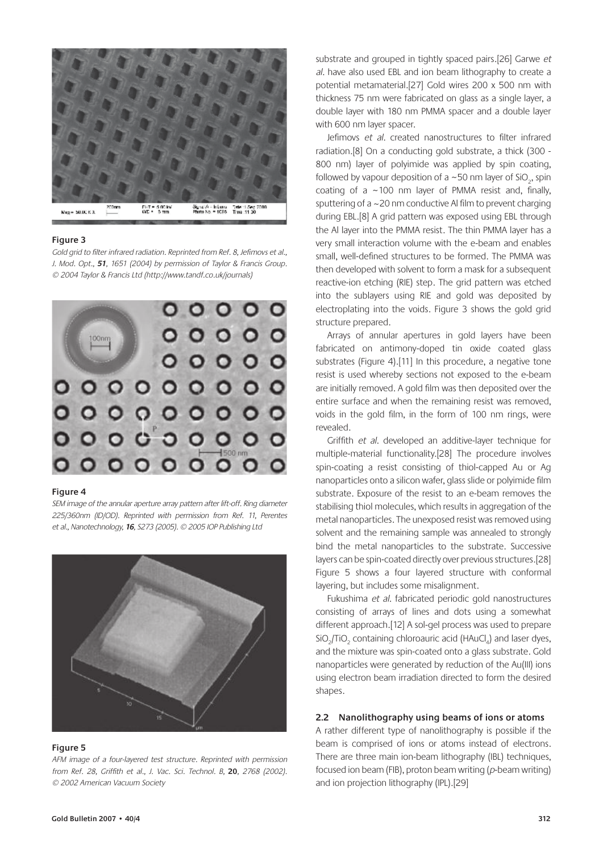

Gold grid to filter infrared radiation. Reprinted from Ref. 8, Jefimovs et al., J. Mod. Opt., **51**, 1651 (2004) by permission of Taylor & Francis Group. © 2004 Taylor & Francis Ltd (http://www.tandf.co.uk/journals)



#### **Figure 4**

SEM image of the annular aperture array pattern after lift-off. Ring diameter 225/360nm (ID/OD). Reprinted with permission from Ref. 11, Perentes et al., Nanotechnology, **16**, S273 (2005). © 2005 IOP Publishing Ltd



#### **Figure 5**

AFM image of a four-layered test structure. Reprinted with permission from Ref. 28, Griffith et al., J. Vac. Sci. Technol. B, **20**, 2768 (2002). © 2002 American Vacuum Society

substrate and grouped in tightly spaced pairs.[26] Garwe et al. have also used EBL and ion beam lithography to create a potential metamaterial.[27] Gold wires 200 x 500 nm with thickness 75 nm were fabricated on glass as a single layer, a double layer with 180 nm PMMA spacer and a double layer with 600 nm layer spacer.

Jefimovs et al. created nanostructures to filter infrared radiation.[8] On a conducting gold substrate, a thick (300 - 800 nm) layer of polyimide was applied by spin coating, followed by vapour deposition of a  $\sim$  50 nm layer of SiO<sub>2</sub>, spin coating of a  $\sim$ 100 nm layer of PMMA resist and, finally, sputtering of a ~20 nm conductive Al film to prevent charging during EBL.[8] A grid pattern was exposed using EBL through the Al layer into the PMMA resist. The thin PMMA layer has a very small interaction volume with the e-beam and enables small, well-defined structures to be formed. The PMMA was then developed with solvent to form a mask for a subsequent reactive-ion etching (RIE) step. The grid pattern was etched into the sublayers using RIE and gold was deposited by electroplating into the voids. Figure 3 shows the gold grid structure prepared.

Arrays of annular apertures in gold layers have been fabricated on antimony-doped tin oxide coated glass substrates (Figure 4).[11] In this procedure, a negative tone resist is used whereby sections not exposed to the e-beam are initially removed. A gold film was then deposited over the entire surface and when the remaining resist was removed, voids in the gold film, in the form of 100 nm rings, were revealed.

Griffith et al. developed an additive-layer technique for multiple-material functionality.[28] The procedure involves spin-coating a resist consisting of thiol-capped Au or Ag nanoparticles onto a silicon wafer, glass slide or polyimide film substrate. Exposure of the resist to an e-beam removes the stabilising thiol molecules, which results in aggregation of the metal nanoparticles. The unexposed resist was removed using solvent and the remaining sample was annealed to strongly bind the metal nanoparticles to the substrate. Successive layers can be spin-coated directly over previous structures.[28] Figure 5 shows a four layered structure with conformal layering, but includes some misalignment.

Fukushima et al. fabricated periodic gold nanostructures consisting of arrays of lines and dots using a somewhat different approach.[12] A sol-gel process was used to prepare  $\overline{SiO}_2$ /TiO<sub>2</sub> containing chloroauric acid (HAuCl<sub>4</sub>) and laser dyes, and the mixture was spin-coated onto a glass substrate. Gold nanoparticles were generated by reduction of the Au(III) ions using electron beam irradiation directed to form the desired shapes.

#### **2.2 Nanolithography using beams of ions or atoms**

A rather different type of nanolithography is possible if the beam is comprised of ions or atoms instead of electrons. There are three main ion-beam lithography (IBL) techniques, focused ion beam (FIB), proton beam writing ( $p$ -beam writing) and ion projection lithography (IPL).[29]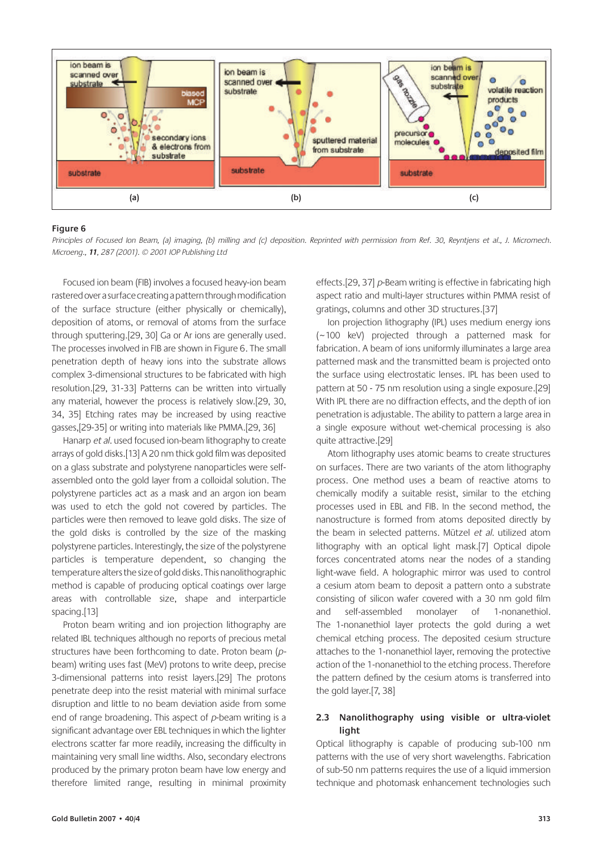

Principles of Focused Ion Beam, (a) imaging, (b) milling and (c) deposition. Reprinted with permission from Ref. 30, Reyntjens et al., J. Micromech. Microeng., **11**, 287 (2001). © 2001 IOP Publishing Ltd

Focused ion beam (FIB) involves a focused heavy-ion beam rastered over a surface creating a pattern through modification of the surface structure (either physically or chemically), deposition of atoms, or removal of atoms from the surface through sputtering.[29, 30] Ga or Ar ions are generally used. The processes involved in FIB are shown in Figure 6. The small penetration depth of heavy ions into the substrate allows complex 3-dimensional structures to be fabricated with high resolution.[29, 31-33] Patterns can be written into virtually any material, however the process is relatively slow.[29, 30, 34, 35] Etching rates may be increased by using reactive gasses,[29-35] or writing into materials like PMMA.[29, 36]

Hanarp et al. used focused ion-beam lithography to create arrays of gold disks.[13] A 20 nm thick gold film was deposited on a glass substrate and polystyrene nanoparticles were selfassembled onto the gold layer from a colloidal solution. The polystyrene particles act as a mask and an argon ion beam was used to etch the gold not covered by particles. The particles were then removed to leave gold disks. The size of the gold disks is controlled by the size of the masking polystyrene particles. Interestingly, the size of the polystyrene particles is temperature dependent, so changing the temperature alters the size of gold disks. This nanolithographic method is capable of producing optical coatings over large areas with controllable size, shape and interparticle spacing.[13]

Proton beam writing and ion projection lithography are related IBL techniques although no reports of precious metal structures have been forthcoming to date. Proton beam (pbeam) writing uses fast (MeV) protons to write deep, precise 3-dimensional patterns into resist layers.[29] The protons penetrate deep into the resist material with minimal surface disruption and little to no beam deviation aside from some end of range broadening. This aspect of  $p$ -beam writing is a significant advantage over EBL techniques in which the lighter electrons scatter far more readily, increasing the difficulty in maintaining very small line widths. Also, secondary electrons produced by the primary proton beam have low energy and therefore limited range, resulting in minimal proximity effects.[29, 37] p-Beam writing is effective in fabricating high aspect ratio and multi-layer structures within PMMA resist of gratings, columns and other 3D structures.[37]

Ion projection lithography (IPL) uses medium energy ions ( ~100 keV) projected through a patterned mask for fabrication. A beam of ions uniformly illuminates a large area patterned mask and the transmitted beam is projected onto the surface using electrostatic lenses. IPL has been used to pattern at 50 - 75 nm resolution using a single exposure.[29] With IPL there are no diffraction effects, and the depth of ion penetration is adjustable. The ability to pattern a large area in a single exposure without wet-chemical processing is also quite attractive.[29]

Atom lithography uses atomic beams to create structures on surfaces. There are two variants of the atom lithography process. One method uses a beam of reactive atoms to chemically modify a suitable resist, similar to the etching processes used in EBL and FIB. In the second method, the nanostructure is formed from atoms deposited directly by the beam in selected patterns. Mützel et al. utilized atom lithography with an optical light mask.[7] Optical dipole forces concentrated atoms near the nodes of a standing light-wave field. A holographic mirror was used to control a cesium atom beam to deposit a pattern onto a substrate consisting of silicon wafer covered with a 30 nm gold film and self-assembled monolayer of 1-nonanethiol. The 1-nonanethiol layer protects the gold during a wet chemical etching process. The deposited cesium structure attaches to the 1-nonanethiol layer, removing the protective action of the 1-nonanethiol to the etching process. Therefore the pattern defined by the cesium atoms is transferred into the gold layer.[7, 38]

#### **2.3 Nanolithography using visible or ultra-violet light**

Optical lithography is capable of producing sub-100 nm patterns with the use of very short wavelengths. Fabrication of sub-50 nm patterns requires the use of a liquid immersion technique and photomask enhancement technologies such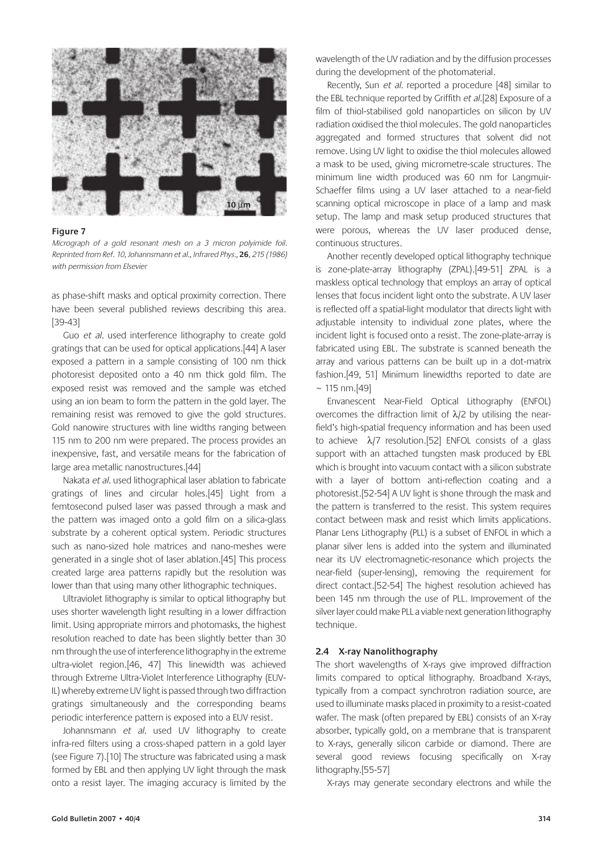

Micrograph of a gold resonant mesh on a 3 micron polyimide foil. Reprinted from Ref. 10, Johannsmann et al., Infrared Phys., **26**, 215 (1986) with permission from Elsevier

as phase-shift masks and optical proximity correction. There have been several published reviews describing this area. [39-43]

Guo et al. used interference lithography to create gold gratings that can be used for optical applications.[44] A laser exposed a pattern in a sample consisting of 100 nm thick photoresist deposited onto a 40 nm thick gold film. The exposed resist was removed and the sample was etched using an ion beam to form the pattern in the gold layer. The remaining resist was removed to give the gold structures. Gold nanowire structures with line widths ranging between 115 nm to 200 nm were prepared. The process provides an inexpensive, fast, and versatile means for the fabrication of large area metallic nanostructures.[44]

Nakata et al. used lithographical laser ablation to fabricate gratings of lines and circular holes.[45] Light from a femtosecond pulsed laser was passed through a mask and the pattern was imaged onto a gold film on a silica-glass substrate by a coherent optical system. Periodic structures such as nano-sized hole matrices and nano-meshes were generated in a single shot of laser ablation.[45] This process created large area patterns rapidly but the resolution was lower than that using many other lithographic techniques.

Ultraviolet lithography is similar to optical lithography but uses shorter wavelength light resulting in a lower diffraction limit. Using appropriate mirrors and photomasks, the highest resolution reached to date has been slightly better than 30 nm through the use of interference lithography in the extreme ultra-violet region.[46, 47] This linewidth was achieved through Extreme Ultra-Violet Interference Lithography (EUV-IL) whereby extreme UV light is passed through two diffraction gratings simultaneously and the corresponding beams periodic interference pattern is exposed into a EUV resist.

Johannsmann et al. used UV lithography to create infra-red filters using a cross-shaped pattern in a gold layer (see Figure 7).[10] The structure was fabricated using a mask formed by EBL and then applying UV light through the mask onto a resist layer. The imaging accuracy is limited by the wavelength of the UV radiation and by the diffusion processes during the development of the photomaterial.

Recently, Sun et al. reported a procedure [48] similar to the EBL technique reported by Griffith et al.[28] Exposure of a film of thiol-stabilised gold nanoparticles on silicon by UV radiation oxidised the thiol molecules. The gold nanoparticles aggregated and formed structures that solvent did not remove. Using UV light to oxidise the thiol molecules allowed a mask to be used, giving micrometre-scale structures. The minimum line width produced was 60 nm for Langmuir-Schaeffer films using a UV laser attached to a near-field scanning optical microscope in place of a lamp and mask setup. The lamp and mask setup produced structures that were porous, whereas the UV laser produced dense, continuous structures.

Another recently developed optical lithography technique is zone-plate-array lithography (ZPAL).[49-51] ZPAL is a maskless optical technology that employs an array of optical lenses that focus incident light onto the substrate. A UV laser is reflected off a spatial-light modulator that directs light with adjustable intensity to individual zone plates, where the incident light is focused onto a resist. The zone-plate-array is fabricated using EBL. The substrate is scanned beneath the array and various patterns can be built up in a dot-matrix fashion.[49, 51] Minimum linewidths reported to date are  $~\sim$  115 nm. [49]

Envanescent Near-Field Optical Lithography (ENFOL) overcomes the diffraction limit of λ/2 by utilising the nearfield's high-spatial frequency information and has been used to achieve λ/7 resolution.[52] ENFOL consists of a glass support with an attached tungsten mask produced by EBL which is brought into vacuum contact with a silicon substrate with a layer of bottom anti-reflection coating and a photoresist.[52-54] A UV light is shone through the mask and the pattern is transferred to the resist. This system requires contact between mask and resist which limits applications. Planar Lens Lithography (PLL) is a subset of ENFOL in which a planar silver lens is added into the system and illuminated near its UV electromagnetic-resonance which projects the near-field (super-lensing), removing the requirement for direct contact.[52-54] The highest resolution achieved has been 145 nm through the use of PLL. Improvement of the silver layer could make PLL a viable next generation lithography technique.

#### **2.4 X-ray Nanolithography**

The short wavelengths of X-rays give improved diffraction limits compared to optical lithography. Broadband X-rays, typically from a compact synchrotron radiation source, are used to illuminate masks placed in proximity to a resist-coated wafer. The mask (often prepared by EBL) consists of an X-ray absorber, typically gold, on a membrane that is transparent to X-rays, generally silicon carbide or diamond. There are several good reviews focusing specifically on X-ray lithography.[55-57]

X-rays may generate secondary electrons and while the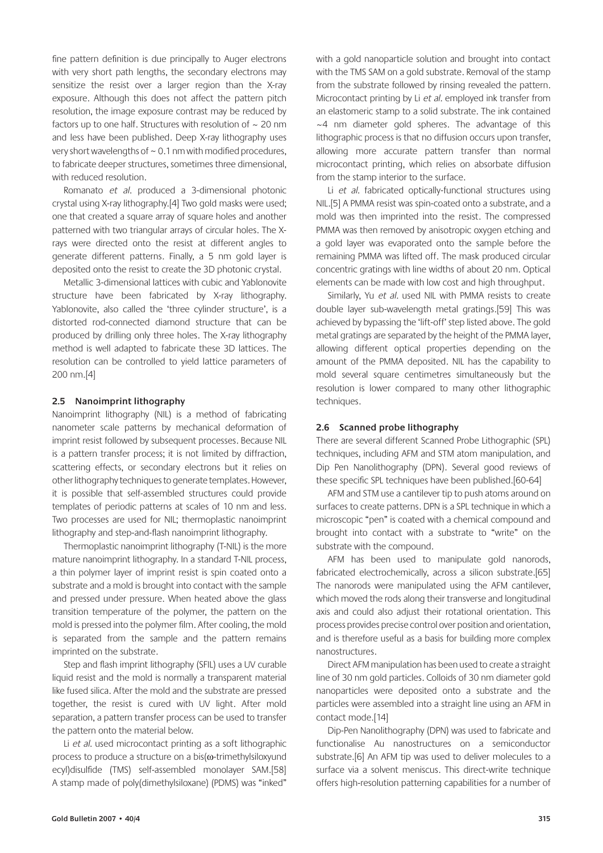fine pattern definition is due principally to Auger electrons with very short path lengths, the secondary electrons may sensitize the resist over a larger region than the X-ray exposure. Although this does not affect the pattern pitch resolution, the image exposure contrast may be reduced by factors up to one half. Structures with resolution of  $\sim$  20 nm and less have been published. Deep X-ray lithography uses very short wavelengths of  $\sim$  0.1 nm with modified procedures, to fabricate deeper structures, sometimes three dimensional, with reduced resolution.

Romanato et al. produced a 3-dimensional photonic crystal using X-ray lithography.[4] Two gold masks were used; one that created a square array of square holes and another patterned with two triangular arrays of circular holes. The Xrays were directed onto the resist at different angles to generate different patterns. Finally, a 5 nm gold layer is deposited onto the resist to create the 3D photonic crystal.

Metallic 3-dimensional lattices with cubic and Yablonovite structure have been fabricated by X-ray lithography. Yablonovite, also called the 'three cylinder structure', is a distorted rod-connected diamond structure that can be produced by drilling only three holes. The X-ray lithography method is well adapted to fabricate these 3D lattices. The resolution can be controlled to yield lattice parameters of 200 nm.[4]

#### **2.5 Nanoimprint lithography**

Nanoimprint lithography (NIL) is a method of fabricating nanometer scale patterns by mechanical deformation of imprint resist followed by subsequent processes. Because NIL is a pattern transfer process; it is not limited by diffraction, scattering effects, or secondary electrons but it relies on other lithography techniques to generate templates. However, it is possible that self-assembled structures could provide templates of periodic patterns at scales of 10 nm and less. Two processes are used for NIL; thermoplastic nanoimprint lithography and step-and-flash nanoimprint lithography.

Thermoplastic nanoimprint lithography (T-NIL) is the more mature nanoimprint lithography. In a standard T-NIL process, a thin polymer layer of imprint resist is spin coated onto a substrate and a mold is brought into contact with the sample and pressed under pressure. When heated above the glass transition temperature of the polymer, the pattern on the mold is pressed into the polymer film. After cooling, the mold is separated from the sample and the pattern remains imprinted on the substrate.

Step and flash imprint lithography (SFIL) uses a UV curable liquid resist and the mold is normally a transparent material like fused silica. After the mold and the substrate are pressed together, the resist is cured with UV light. After mold separation, a pattern transfer process can be used to transfer the pattern onto the material below.

Li et al. used microcontact printing as a soft lithographic process to produce a structure on a bis(ω-trimethylsiloxyund ecyl)disulfide (TMS) self-assembled monolayer SAM.[58] A stamp made of poly(dimethylsiloxane) (PDMS) was "inked"

with a gold nanoparticle solution and brought into contact with the TMS SAM on a gold substrate. Removal of the stamp from the substrate followed by rinsing revealed the pattern. Microcontact printing by Li et al. employed ink transfer from an elastomeric stamp to a solid substrate. The ink contained ~4 nm diameter gold spheres. The advantage of this lithographic process is that no diffusion occurs upon transfer, allowing more accurate pattern transfer than normal microcontact printing, which relies on absorbate diffusion from the stamp interior to the surface.

Li et al. fabricated optically-functional structures using NIL.[5] A PMMA resist was spin-coated onto a substrate, and a mold was then imprinted into the resist. The compressed PMMA was then removed by anisotropic oxygen etching and a gold layer was evaporated onto the sample before the remaining PMMA was lifted off. The mask produced circular concentric gratings with line widths of about 20 nm. Optical elements can be made with low cost and high throughput.

Similarly, Yu et al. used NIL with PMMA resists to create double layer sub-wavelength metal gratings.[59] This was achieved by bypassing the 'lift-off' step listed above. The gold metal gratings are separated by the height of the PMMA layer, allowing different optical properties depending on the amount of the PMMA deposited. NIL has the capability to mold several square centimetres simultaneously but the resolution is lower compared to many other lithographic techniques.

#### **2.6 Scanned probe lithography**

There are several different Scanned Probe Lithographic (SPL) techniques, including AFM and STM atom manipulation, and Dip Pen Nanolithography (DPN). Several good reviews of these specific SPL techniques have been published.[60-64]

AFM and STM use a cantilever tip to push atoms around on surfaces to create patterns. DPN is a SPL technique in which a microscopic "pen" is coated with a chemical compound and brought into contact with a substrate to "write" on the substrate with the compound.

AFM has been used to manipulate gold nanorods, fabricated electrochemically, across a silicon substrate.[65] The nanorods were manipulated using the AFM cantilever, which moved the rods along their transverse and longitudinal axis and could also adjust their rotational orientation. This process provides precise control over position and orientation, and is therefore useful as a basis for building more complex nanostructures.

Direct AFM manipulation has been used to create a straight line of 30 nm gold particles. Colloids of 30 nm diameter gold nanoparticles were deposited onto a substrate and the particles were assembled into a straight line using an AFM in contact mode.[14]

Dip-Pen Nanolithography (DPN) was used to fabricate and functionalise Au nanostructures on a semiconductor substrate.[6] An AFM tip was used to deliver molecules to a surface via a solvent meniscus. This direct-write technique offers high-resolution patterning capabilities for a number of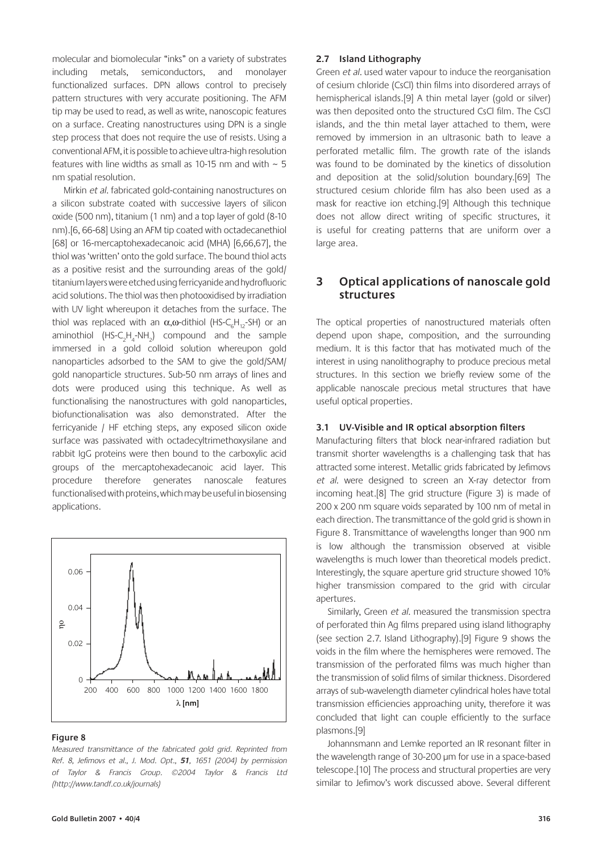molecular and biomolecular "inks" on a variety of substrates including metals, semiconductors, and monolayer functionalized surfaces. DPN allows control to precisely pattern structures with very accurate positioning. The AFM tip may be used to read, as well as write, nanoscopic features on a surface. Creating nanostructures using DPN is a single step process that does not require the use of resists. Using a conventional AFM, it is possible to achieve ultra-high resolution features with line widths as small as 10-15 nm and with  $\sim$  5 nm spatial resolution.

Mirkin et al. fabricated gold-containing nanostructures on a silicon substrate coated with successive layers of silicon oxide (500 nm), titanium (1 nm) and a top layer of gold (8-10 nm).[6, 66-68] Using an AFM tip coated with octadecanethiol [68] or 16-mercaptohexadecanoic acid (MHA) [6,66,67], the thiol was 'written' onto the gold surface. The bound thiol acts as a positive resist and the surrounding areas of the gold/ titanium layers were etched using ferricyanide and hydrofluoric acid solutions. The thiol was then photooxidised by irradiation with UV light whereupon it detaches from the surface. The thiol was replaced with an  $\alpha, \omega$ -dithiol (HS-C<sub>6</sub>H<sub>12</sub>-SH) or an aminothiol  $(HS-C_2H_4-NH_2)$  compound and the sample immersed in a gold colloid solution whereupon gold nanoparticles adsorbed to the SAM to give the gold/SAM/ gold nanoparticle structures. Sub-50 nm arrays of lines and dots were produced using this technique. As well as functionalising the nanostructures with gold nanoparticles, biofunctionalisation was also demonstrated. After the ferricyanide / HF etching steps, any exposed silicon oxide surface was passivated with octadecyltrimethoxysilane and rabbit IgG proteins were then bound to the carboxylic acid groups of the mercaptohexadecanoic acid layer. This procedure therefore generates nanoscale features functionalised with proteins, which may be useful in biosensing applications.



#### **Figure 8**

Measured transmittance of the fabricated gold grid. Reprinted from Ref. 8, Jefimovs et al., J. Mod. Opt., **51**, 1651 (2004) by permission of Taylor & Francis Group. ©2004 Taylor & Francis Ltd (http://www.tandf.co.uk/journals)

#### **2.7 Island Lithography**

Green et al. used water vapour to induce the reorganisation of cesium chloride (CsCl) thin films into disordered arrays of hemispherical islands.[9] A thin metal layer (gold or silver) was then deposited onto the structured CsCl film. The CsCl islands, and the thin metal layer attached to them, were removed by immersion in an ultrasonic bath to leave a perforated metallic film. The growth rate of the islands was found to be dominated by the kinetics of dissolution and deposition at the solid/solution boundary.[69] The structured cesium chloride film has also been used as a mask for reactive ion etching.[9] Although this technique does not allow direct writing of specific structures, it is useful for creating patterns that are uniform over a large area.

## **3 Optical applications of nanoscale gold structures**

The optical properties of nanostructured materials often depend upon shape, composition, and the surrounding medium. It is this factor that has motivated much of the interest in using nanolithography to produce precious metal structures. In this section we briefly review some of the applicable nanoscale precious metal structures that have useful optical properties.

#### **3.1 UV-Visible and IR optical absorption filters**

Manufacturing filters that block near-infrared radiation but transmit shorter wavelengths is a challenging task that has attracted some interest. Metallic grids fabricated by Jefimovs et al. were designed to screen an X-ray detector from incoming heat.[8] The grid structure (Figure 3) is made of 200 x 200 nm square voids separated by 100 nm of metal in each direction. The transmittance of the gold grid is shown in Figure 8. Transmittance of wavelengths longer than 900 nm is low although the transmission observed at visible wavelengths is much lower than theoretical models predict. Interestingly, the square aperture grid structure showed 10% higher transmission compared to the grid with circular apertures.

Similarly, Green et al. measured the transmission spectra of perforated thin Ag films prepared using island lithography (see section 2.7. Island Lithography).[9] Figure 9 shows the voids in the film where the hemispheres were removed. The transmission of the perforated films was much higher than the transmission of solid films of similar thickness. Disordered arrays of sub-wavelength diameter cylindrical holes have total transmission efficiencies approaching unity, therefore it was concluded that light can couple efficiently to the surface plasmons.[9]

Johannsmann and Lemke reported an IR resonant filter in the wavelength range of 30-200 μm for use in a space-based telescope.[10] The process and structural properties are very similar to Jefimov's work discussed above. Several different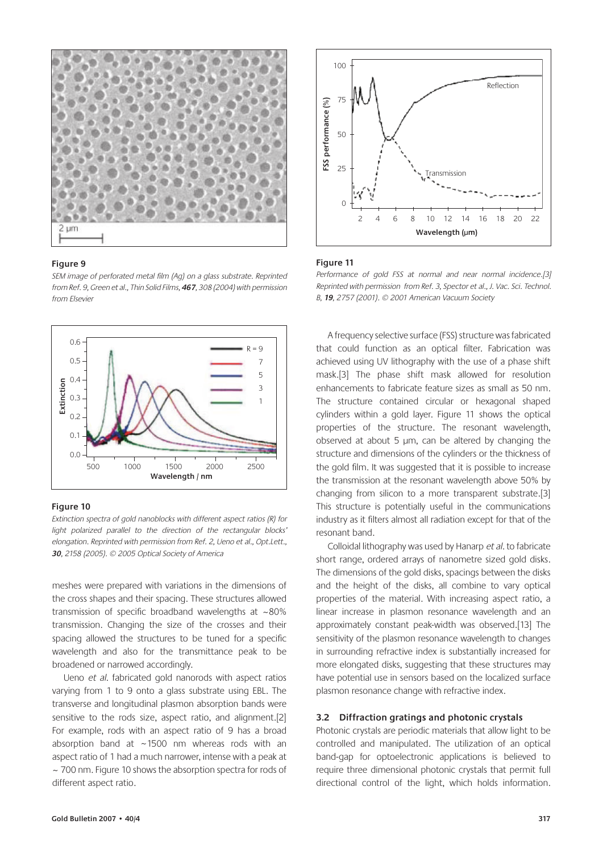

SEM image of perforated metal film (Ag) on a glass substrate. Reprinted from Ref. 9, Green et al., Thin Solid Films, **467**, 308 (2004) with permission from Elsevier



#### **Figure 10**

Extinction spectra of gold nanoblocks with different aspect ratios (R) for light polarized parallel to the direction of the rectangular blocks' elongation. Reprinted with permission from Ref. 2, Ueno et al., Opt.Lett., **30**, 2158 (2005). © 2005 Optical Society of America

meshes were prepared with variations in the dimensions of the cross shapes and their spacing. These structures allowed transmission of specific broadband wavelengths at ~80% transmission. Changing the size of the crosses and their spacing allowed the structures to be tuned for a specific wavelength and also for the transmittance peak to be broadened or narrowed accordingly.

Ueno et al. fabricated gold nanorods with aspect ratios varying from 1 to 9 onto a glass substrate using EBL. The transverse and longitudinal plasmon absorption bands were sensitive to the rods size, aspect ratio, and alignment.[2] For example, rods with an aspect ratio of 9 has a broad absorption band at  $\sim$ 1500 nm whereas rods with an aspect ratio of 1 had a much narrower, intense with a peak at ~ 700 nm. Figure 10 shows the absorption spectra for rods of different aspect ratio.



#### **Figure 11**

Performance of gold FSS at normal and near normal incidence.[3] Reprinted with permission from Ref. 3, Spector et al., J. Vac. Sci. Technol. B, **19**, 2757 (2001). © 2001 American Vacuum Society

A frequency selective surface (FSS) structure was fabricated that could function as an optical filter. Fabrication was achieved using UV lithography with the use of a phase shift mask.[3] The phase shift mask allowed for resolution enhancements to fabricate feature sizes as small as 50 nm. The structure contained circular or hexagonal shaped cylinders within a gold layer. Figure 11 shows the optical properties of the structure. The resonant wavelength, observed at about 5 μm, can be altered by changing the structure and dimensions of the cylinders or the thickness of the gold film. It was suggested that it is possible to increase the transmission at the resonant wavelength above 50% by changing from silicon to a more transparent substrate.[3] This structure is potentially useful in the communications industry as it filters almost all radiation except for that of the resonant band.

Colloidal lithography was used by Hanarp et al. to fabricate short range, ordered arrays of nanometre sized gold disks. The dimensions of the gold disks, spacings between the disks and the height of the disks, all combine to vary optical properties of the material. With increasing aspect ratio, a linear increase in plasmon resonance wavelength and an approximately constant peak-width was observed.[13] The sensitivity of the plasmon resonance wavelength to changes in surrounding refractive index is substantially increased for more elongated disks, suggesting that these structures may have potential use in sensors based on the localized surface plasmon resonance change with refractive index.

#### **3.2 Diffraction gratings and photonic crystals**

Photonic crystals are periodic materials that allow light to be controlled and manipulated. The utilization of an optical band-gap for optoelectronic applications is believed to require three dimensional photonic crystals that permit full directional control of the light, which holds information.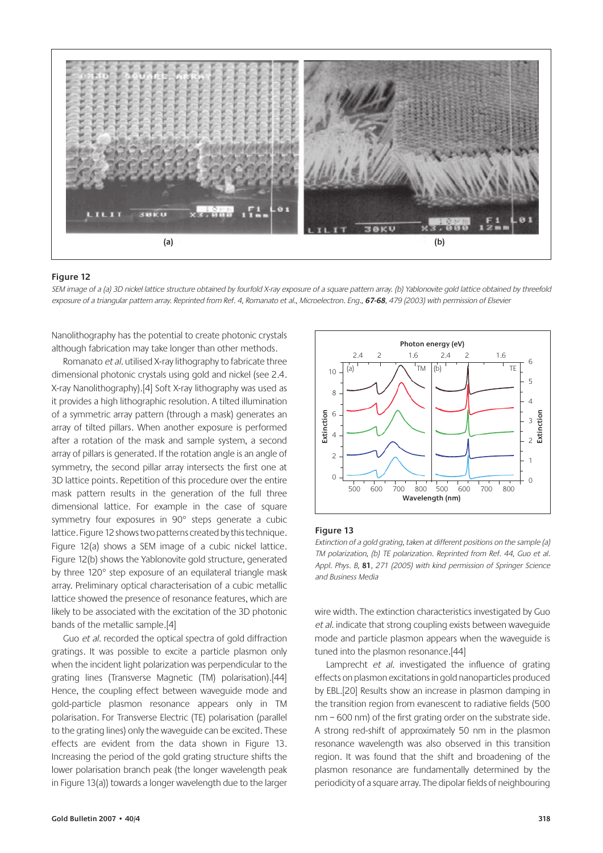

SEM image of a (a) 3D nickel lattice structure obtained by fourfold X-ray exposure of a square pattern array. (b) Yablonovite gold lattice obtained by threefold exposure of a triangular pattern array. Reprinted from Ref. 4, Romanato et al., Microelectron. Eng., **67-68**, 479 (2003) with permission of Elsevier

Nanolithography has the potential to create photonic crystals although fabrication may take longer than other methods.

Romanato et al. utilised X-ray lithography to fabricate three dimensional photonic crystals using gold and nickel (see 2.4. X-ray Nanolithography).[4] Soft X-ray lithography was used as it provides a high lithographic resolution. A tilted illumination of a symmetric array pattern (through a mask) generates an array of tilted pillars. When another exposure is performed after a rotation of the mask and sample system, a second array of pillars is generated. If the rotation angle is an angle of symmetry, the second pillar array intersects the first one at 3D lattice points. Repetition of this procedure over the entire mask pattern results in the generation of the full three dimensional lattice. For example in the case of square symmetry four exposures in 90° steps generate a cubic lattice. Figure 12 shows two patterns created by this technique. Figure 12(a) shows a SEM image of a cubic nickel lattice. Figure 12(b) shows the Yablonovite gold structure, generated by three 120° step exposure of an equilateral triangle mask array. Preliminary optical characterisation of a cubic metallic lattice showed the presence of resonance features, which are likely to be associated with the excitation of the 3D photonic bands of the metallic sample.[4]

Guo et al. recorded the optical spectra of gold diffraction gratings. It was possible to excite a particle plasmon only when the incident light polarization was perpendicular to the grating lines (Transverse Magnetic (TM) polarisation).[44] Hence, the coupling effect between waveguide mode and gold-particle plasmon resonance appears only in TM polarisation. For Transverse Electric (TE) polarisation (parallel to the grating lines) only the waveguide can be excited. These effects are evident from the data shown in Figure 13. Increasing the period of the gold grating structure shifts the lower polarisation branch peak (the longer wavelength peak in Figure 13(a)) towards a longer wavelength due to the larger



#### **Figure 13**

Extinction of a gold grating, taken at different positions on the sample (a) TM polarization, (b) TE polarization. Reprinted from Ref. 44, Guo et al. Appl. Phys. B, **81**, 271 (2005) with kind permission of Springer Science and Business Media

wire width. The extinction characteristics investigated by Guo et al. indicate that strong coupling exists between waveguide mode and particle plasmon appears when the waveguide is tuned into the plasmon resonance.[44]

Lamprecht et al. investigated the influence of grating effects on plasmon excitations in gold nanoparticles produced by EBL.[20] Results show an increase in plasmon damping in the transition region from evanescent to radiative fields (500 nm – 600 nm) of the first grating order on the substrate side. A strong red-shift of approximately 50 nm in the plasmon resonance wavelength was also observed in this transition region. It was found that the shift and broadening of the plasmon resonance are fundamentally determined by the periodicity of a square array. The dipolar fields of neighbouring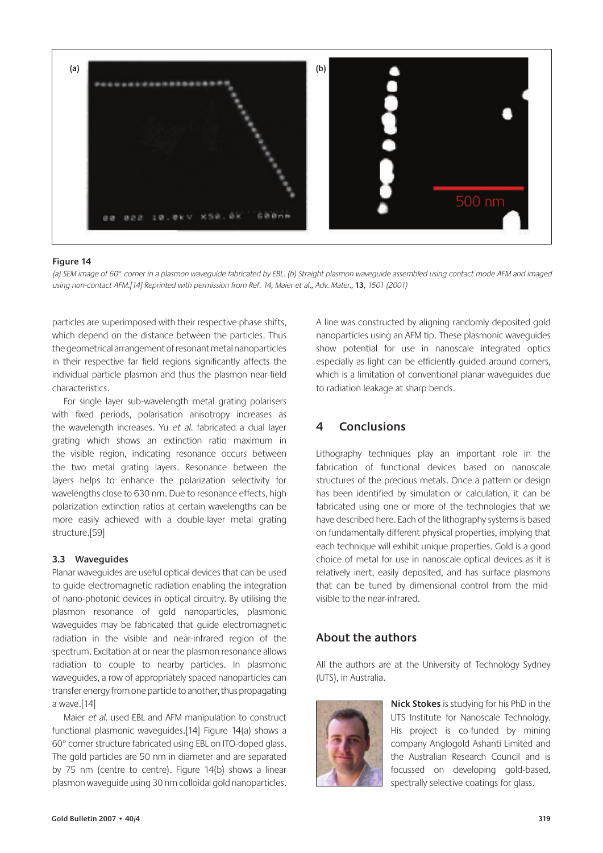

(a) SEM image of 60° corner in a plasmon waveguide fabricated by EBL. (b) Straight plasmon waveguide assembled using contact mode AFM and imaged using non-contact AFM.[14] Reprinted with permission from Ref. 14, Maier et al., Adv. Mater., **13**, 1501 (2001)

particles are superimposed with their respective phase shifts, which depend on the distance between the particles. Thus the geometrical arrangement of resonant metal nanoparticles in their respective far field regions significantly affects the individual particle plasmon and thus the plasmon near-field characteristics.

For single layer sub-wavelength metal grating polarisers with fixed periods, polarisation anisotropy increases as the wavelength increases. Yu et al. fabricated a dual layer grating which shows an extinction ratio maximum in the visible region, indicating resonance occurs between the two metal grating layers. Resonance between the layers helps to enhance the polarization selectivity for wavelengths close to 630 nm. Due to resonance effects, high polarization extinction ratios at certain wavelengths can be more easily achieved with a double-layer metal grating structure.[59]

#### **3.3 Waveguides**

Planar waveguides are useful optical devices that can be used to guide electromagnetic radiation enabling the integration of nano-photonic devices in optical circuitry. By utilising the plasmon resonance of gold nanoparticles, plasmonic waveguides may be fabricated that guide electromagnetic radiation in the visible and near-infrared region of the spectrum. Excitation at or near the plasmon resonance allows radiation to couple to nearby particles. In plasmonic waveguides, a row of appropriately spaced nanoparticles can transfer energy from one particle to another, thus propagating a wave.[14]

Maier et al. used EBL and AFM manipulation to construct functional plasmonic waveguides.[14] Figure 14(a) shows a 60° corner structure fabricated using EBL on ITO-doped glass. The gold particles are 50 nm in diameter and are separated by 75 nm (centre to centre). Figure 14(b) shows a linear plasmon waveguide using 30 nm colloidal gold nanoparticles. A line was constructed by aligning randomly deposited gold nanoparticles using an AFM tip. These plasmonic waveguides show potential for use in nanoscale integrated optics especially as light can be efficiently guided around corners, which is a limitation of conventional planar waveguides due to radiation leakage at sharp bends.

## **4 Conclusions**

Lithography techniques play an important role in the fabrication of functional devices based on nanoscale structures of the precious metals. Once a pattern or design has been identified by simulation or calculation, it can be fabricated using one or more of the technologies that we have described here. Each of the lithography systems is based on fundamentally different physical properties, implying that each technique will exhibit unique properties. Gold is a good choice of metal for use in nanoscale optical devices as it is relatively inert, easily deposited, and has surface plasmons that can be tuned by dimensional control from the midvisible to the near-infrared.

## **About the authors**

All the authors are at the University of Technology Sydney (UTS), in Australia.



**Nick Stokes** is studying for his PhD in the UTS Institute for Nanoscale Technology. His project is co-funded by mining company Anglogold Ashanti Limited and the Australian Research Council and is focussed on developing gold-based, spectrally selective coatings for glass.